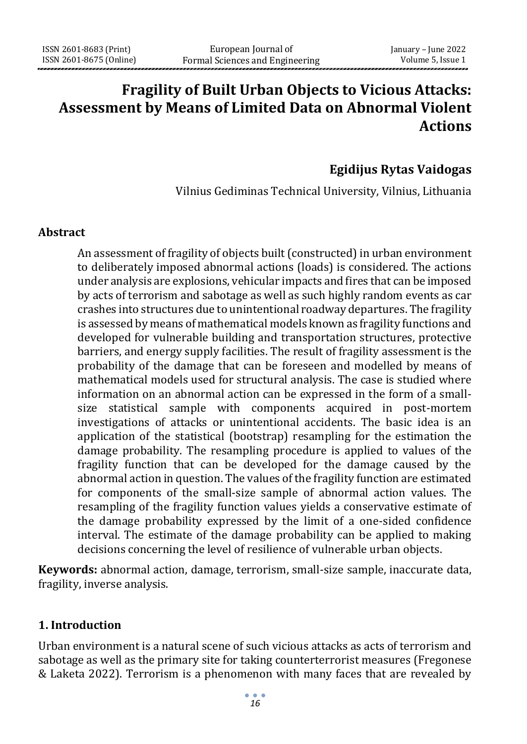# **Fragility of Built Urban Objects to Vicious Attacks: Assessment by Means of Limited Data on Abnormal Violent Actions**

# **Egidijus Rytas Vaidogas**

Vilnius Gediminas Technical University, Vilnius, Lithuania

#### **Abstract**

An assessment of fragility of objects built (constructed) in urban environment to deliberately imposed abnormal actions (loads) is considered. The actions under analysis are explosions, vehicular impacts and fires that can be imposed by acts of terrorism and sabotage as well as such highly random events as car crashes into structures due to unintentional roadway departures. The fragility is assessed by means of mathematical models known as fragility functions and developed for vulnerable building and transportation structures, protective barriers, and energy supply facilities. The result of fragility assessment is the probability of the damage that can be foreseen and modelled by means of mathematical models used for structural analysis. The case is studied where information on an abnormal action can be expressed in the form of a smallsize statistical sample with components acquired in post-mortem investigations of attacks or unintentional accidents. The basic idea is an application of the statistical (bootstrap) resampling for the estimation the damage probability. The resampling procedure is applied to values of the fragility function that can be developed for the damage caused by the abnormal action in question. The values of the fragility function are estimated for components of the small-size sample of abnormal action values. The resampling of the fragility function values yields a conservative estimate of the damage probability expressed by the limit of a one-sided confidence interval. The estimate of the damage probability can be applied to making decisions concerning the level of resilience of vulnerable urban objects.

**Keywords:** abnormal action, damage, terrorism, small-size sample, inaccurate data, fragility, inverse analysis.

#### **1. Introduction**

Urban environment is a natural scene of such vicious attacks as acts of terrorism and sabotage as well as the primary site for taking counterterrorist measures (Fregonese & Laketa 2022). Terrorism is a phenomenon with many faces that are revealed by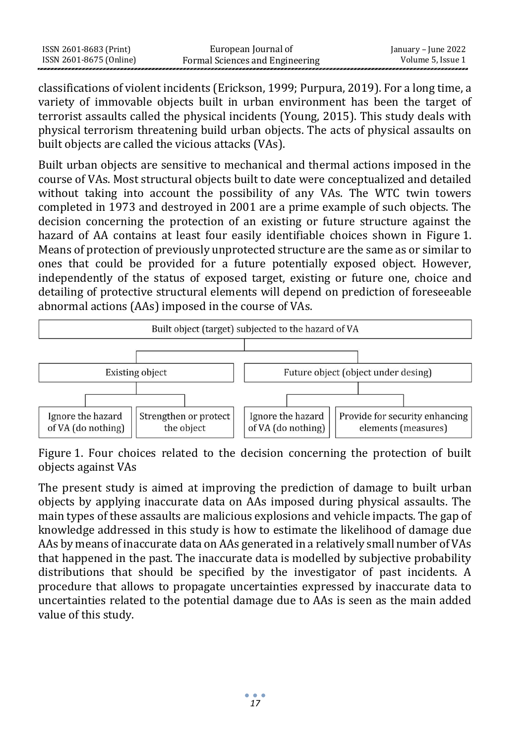| ISSN 2601-8683 (Print)  | European Journal of             | January – June 2022 |
|-------------------------|---------------------------------|---------------------|
| ISSN 2601-8675 (Online) | Formal Sciences and Engineering | Volume 5, Issue 1   |

classifications of violent incidents (Erickson, 1999; Purpura, 2019). For a long time, a variety of immovable objects built in urban environment has been the target of terrorist assaults called the physical incidents (Young, 2015). This study deals with physical terrorism threatening build urban objects. The acts of physical assaults on built objects are called the vicious attacks (VAs).

Built urban objects are sensitive to mechanical and thermal actions imposed in the course of VAs. Most structural objects built to date were conceptualized and detailed without taking into account the possibility of any VAs. The WTC twin towers completed in 1973 and destroyed in 2001 are a prime example of such objects. The decision concerning the protection of an existing or future structure against the hazard of AA contains at least four easily identifiable choices shown in Figure 1. Means of protection of previously unprotected structure are the same as or similar to ones that could be provided for a future potentially exposed object. However, independently of the status of exposed target, existing or future one, choice and detailing of protective structural elements will depend on prediction of foreseeable abnormal actions (AAs) imposed in the course of VAs.



Figure 1. Four choices related to the decision concerning the protection of built objects against VAs

The present study is aimed at improving the prediction of damage to built urban objects by applying inaccurate data on AAs imposed during physical assaults. The main types of these assaults are malicious explosions and vehicle impacts. The gap of knowledge addressed in this study is how to estimate the likelihood of damage due AAs by means of inaccurate data on AAs generated in a relatively small number of VAs that happened in the past. The inaccurate data is modelled by subjective probability distributions that should be specified by the investigator of past incidents. A procedure that allows to propagate uncertainties expressed by inaccurate data to uncertainties related to the potential damage due to AAs is seen as the main added value of this study.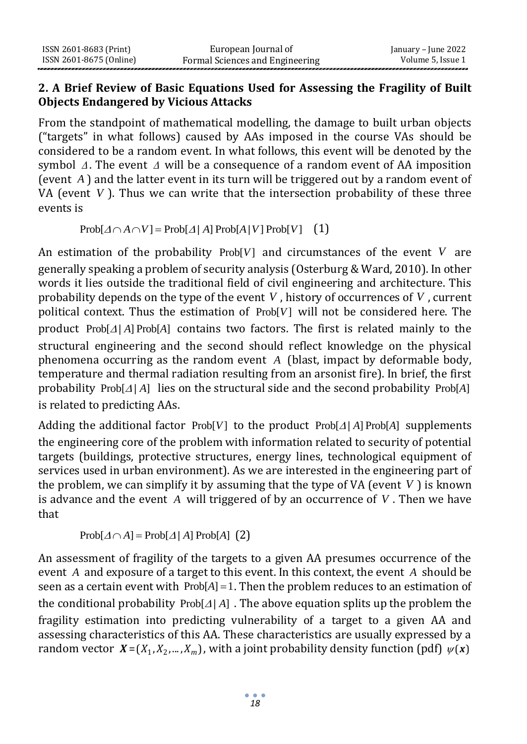## **2. A Brief Review of Basic Equations Used for Assessing the Fragility of Built Objects Endangered by Vicious Attacks**

From the standpoint of mathematical modelling, the damage to built urban objects ("targets" in what follows) caused by AAs imposed in the course VAs should be considered to be a random event. In what follows, this event will be denoted by the symbol  $\Delta$ . The event  $\Delta$  will be a consequence of a random event of AA imposition (event *A* ) and the latter event in its turn will be triggered out by a random event of VA (event *V* ). Thus we can write that the intersection probability of these three events is

 $\text{Prob}[ \triangle \cap A \cap V ] = \text{Prob}[ \triangle / A ] \text{Prob}[A/V] \text{Prob}[V]$  (1)

An estimation of the probability  $Prob[V]$  and circumstances of the event V are generally speaking a problem of security analysis (Osterburg & Ward, 2010). In other words it lies outside the traditional field of civil engineering and architecture. This probability depends on the type of the event V, history of occurrences of V, current political context. Thus the estimation of Prob[V] will not be considered here. The product Prob[ $\Delta$ /A] Prob[A] contains two factors. The first is related mainly to the structural engineering and the second should reflect knowledge on the physical phenomena occurring as the random event *A* (blast, impact by deformable body, temperature and thermal radiation resulting from an arsonist fire). In brief, the first probability Prob[ $\Delta$ /A] lies on the structural side and the second probability Prob[A] is related to predicting AAs.

Adding the additional factor  $Prob[V]$  to the product  $Prob[\Lambda/\Lambda]$  Prob[A] supplements the engineering core of the problem with information related to security of potential targets (buildings, protective structures, energy lines, technological equipment of services used in urban environment). As we are interested in the engineering part of the problem, we can simplify it by assuming that the type of VA (event *V* ) is known is advance and the event A will triggered of by an occurrence of V. Then we have that

 $Prob[\Delta \cap A] = Prob[\Delta / A] Prob[A]$  (2)

An assessment of fragility of the targets to a given AA presumes occurrence of the event *A* and exposure of a target to this event. In this context, the event *A* should be seen as a certain event with  $Prob[A] = 1$ . Then the problem reduces to an estimation of the conditional probability  $Prob[\Delta / A]$ . The above equation splits up the problem the fragility estimation into predicting vulnerability of a target to a given AA and assessing characteristics of this AA. These characteristics are usually expressed by a random vector  $X = (X_1, X_2, ..., X_m)$ , with a joint probability density function (pdf)  $\psi(\mathbf{x})$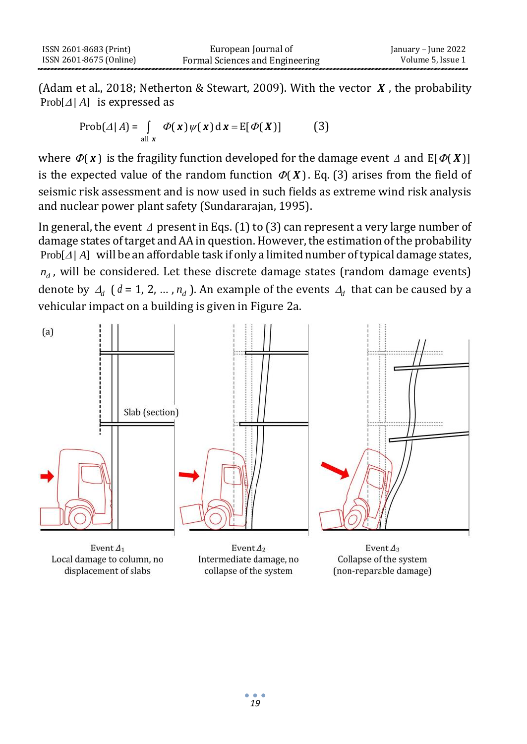(Adam et al., 2018; Netherton & Stewart, 2009). With the vector *X* , the probability  $Prob[\Delta / A]$  is expressed as

$$
Prob(\Delta | A) = \int_{\text{all } x} \Phi(x) \psi(x) dx = E[\Phi(X)] \tag{3}
$$

where  $\varPhi({\bm x})$  is the fragility function developed for the damage event  $\varDelta$  and E[ $\varPhi({\bm X})$ ] is the expected value of the random function  $\mathcal{P}(X)$ . Eq. (3) arises from the field of seismic risk assessment and is now used in such fields as extreme wind risk analysis and nuclear power plant safety (Sundararajan, 1995).

In general, the event  $\Delta$  present in Eqs. (1) to (3) can represent a very large number of damage states of target and AA in question. However, the estimation of the probability  $Prob[ $\Delta$ /A]$  will be an affordable task if only a limited number of typical damage states, *d n* , will be considered. Let these discrete damage states (random damage events) denote by  $\Delta_d$  ( $d = 1, 2, ..., n_d$ ). An example of the events  $\Delta_d$  that can be caused by a vehicular impact on a building is given in Figure 2a.



Local damage to column, no displacement of slabs

Intermediate damage, no collapse of the system

Collapse of the system (non-reparable damage)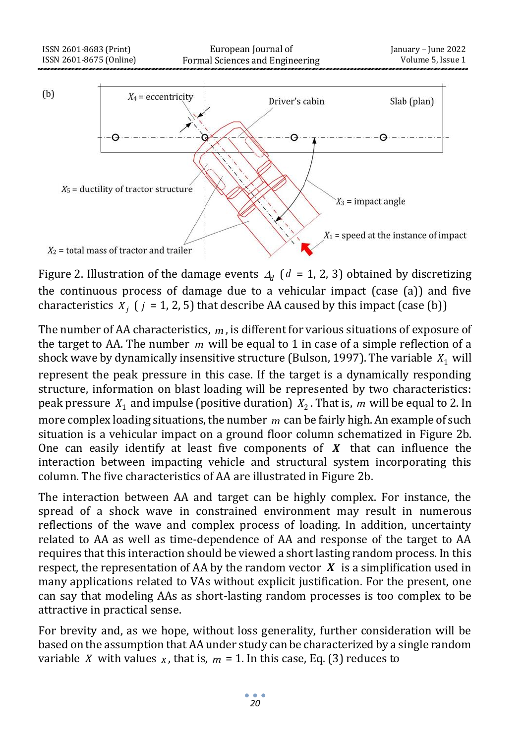

Figure 2. Illustration of the damage events  $A_d$  ( $d = 1, 2, 3$ ) obtained by discretizing the continuous process of damage due to a vehicular impact (case (a)) and five characteristics  $X_j$  ( $j = 1, 2, 5$ ) that describe AA caused by this impact (case (b))

The number of AA characteristics, *m* , is different for various situations of exposure of the target to AA. The number m will be equal to 1 in case of a simple reflection of a shock wave by dynamically insensitive structure (Bulson, 1997). The variable  $X_1$  will represent the peak pressure in this case. If the target is a dynamically responding structure, information on blast loading will be represented by two characteristics: peak pressure  $X_1$  and impulse (positive duration)  $X_2$ . That is, m will be equal to 2. In more complex loading situations, the number *m* can be fairly high. An example of such situation is a vehicular impact on a ground floor column schematized in Figure 2b. One can easily identify at least five components of *X* that can influence the interaction between impacting vehicle and structural system incorporating this column. The five characteristics of AA are illustrated in Figure 2b.

The interaction between AA and target can be highly complex. For instance, the spread of a shock wave in constrained environment may result in numerous reflections of the wave and complex process of loading. In addition, uncertainty related to AA as well as time-dependence of AA and response of the target to AA requires that this interaction should be viewed a short lasting random process. In this respect, the representation of AA by the random vector *X* is a simplification used in many applications related to VAs without explicit justification. For the present, one can say that modeling AAs as short-lasting random processes is too complex to be attractive in practical sense.

For brevity and, as we hope, without loss generality, further consideration will be based on the assumption that AA under study can be characterized by a single random variable X with values  $x$ , that is,  $m = 1$ . In this case, Eq. (3) reduces to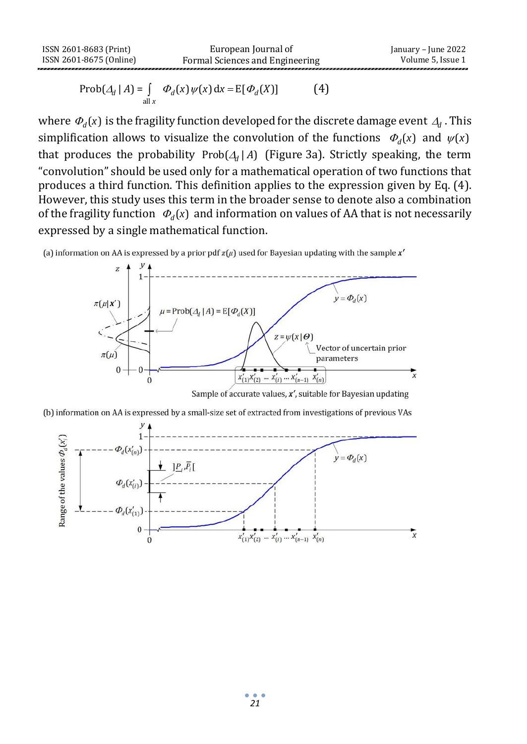$$
\operatorname{Prob}(\mathcal{A}_d \mid A) = \int_{\text{all } x} \Phi_d(x) \psi(x) \, dx = E[\Phi_d(X)] \tag{4}
$$

where  $\varPhi_d(x)$  is the fragility function developed for the discrete damage event  $\varDelta_d$  . This simplification allows to visualize the convolution of the functions  $\phi_d(x)$  and  $\psi(x)$ that produces the probability  $Prob(\Lambda_d | A)$  (Figure 3a). Strictly speaking, the term "convolution" should be used only for a mathematical operation of two functions that produces a third function. This definition applies to the expression given by Eq. (4). However, this study uses this term in the broader sense to denote also a combination of the fragility function  $\Phi_d(x)$  and information on values of AA that is not necessarily expressed by a single mathematical function.





Sample of accurate values,  $x'$ , suitable for Bayesian updating

(b) information on AA is expressed by a small-size set of extracted from investigations of previous VAs

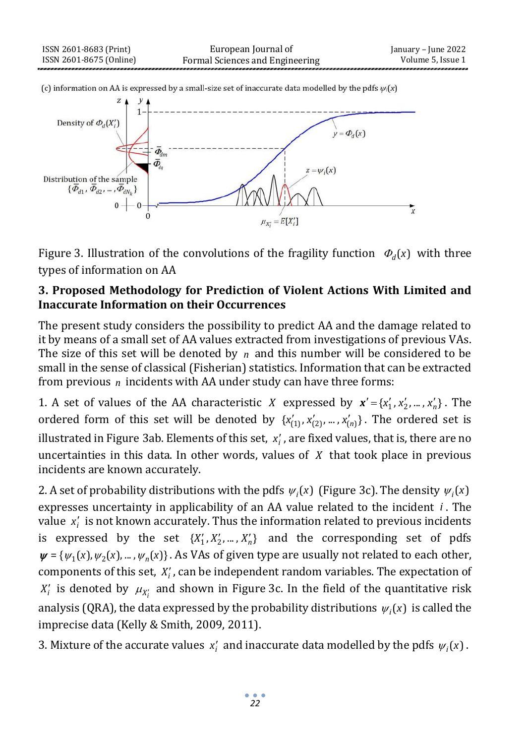

Figure 3. Illustration of the convolutions of the fragility function  $\Phi_d(x)$  with three types of information on AA

## **3. Proposed Methodology for Prediction of Violent Actions With Limited and Inaccurate Information on their Occurrences**

The present study considers the possibility to predict AA and the damage related to it by means of a small set of AA values extracted from investigations of previous VAs. The size of this set will be denoted by  $n$  and this number will be considered to be small in the sense of classical (Fisherian) statistics. Information that can be extracted from previous n incidents with AA under study can have three forms:

1. A set of values of the AA characteristic *X* expressed by  $x' = \{x'_1, x'_2, ..., x'_n\}$ . The ordered form of this set will be denoted by  $\{x'_{(1)}, x'_{(2)}, ..., x'_{(n)}\}$ . The ordered set is illustrated in Figure 3ab. Elements of this set, *i <sup>x</sup>* , are fixed values, that is, there are no uncertainties in this data. In other words, values of *X* that took place in previous incidents are known accurately.

2. A set of probability distributions with the pdfs  $\psi_i(x)$  (Figure 3c). The density  $\psi_i(x)$ expresses uncertainty in applicability of an AA value related to the incident *i* . The value x<sub>i</sub> is not known accurately. Thus the information related to previous incidents is expressed by the set  $\{X'_1, X'_2, ..., X'_n\}$  and the corresponding set of pdfs  $\psi = {\psi_1(x), \psi_2(x), ..., \psi_n(x)}$ . As VAs of given type are usually not related to each other, components of this set,  $X_i'$ , can be independent random variables. The expectation of  $X_i'$  is denoted by  $\mu_{X_i'}$  and shown in Figure 3c. In the field of the quantitative risk analysis (QRA), the data expressed by the probability distributions  $\psi_i(x)$  is called the imprecise data (Kelly & Smith, 2009, 2011).

3. Mixture of the accurate values  $x_i'$  and inaccurate data modelled by the pdfs  $\psi_i(x)$ .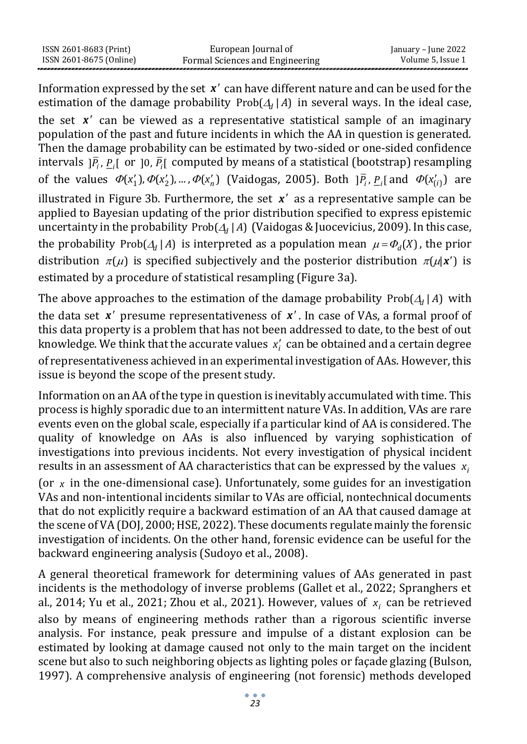| ISSN 2601-8683 (Print)  | European Journal of             | January – June 2022 |
|-------------------------|---------------------------------|---------------------|
| ISSN 2601-8675 (Online) | Formal Sciences and Engineering | Volume 5. Issue 1   |

Information expressed by the set x' can have different nature and can be used for the estimation of the damage probability  $Prob(\Lambda_d | A)$  in several ways. In the ideal case,

the set x' can be viewed as a representative statistical sample of an imaginary population of the past and future incidents in which the AA in question is generated. Then the damage probability can be estimated by two-sided or one-sided confidence intervals  $]\bar{P}_i$ ,  $\underline{P}_i$  or  $]$ 0,  $\bar{P}_i$  computed by means of a statistical (bootstrap) resampling of the values  $\Phi(x'_1), \Phi(x'_2), \dots, \Phi(x'_n)$  (Vaidogas, 2005). Both  $] \overline{P}_i, P_{i}$  and  $\Phi(x'_{(i)})$  are illustrated in Figure 3b. Furthermore, the set  $x'$  as a representative sample can be applied to Bayesian updating of the prior distribution specified to express epistemic uncertainty in the probability Prob $(A_d | A)$  (Vaidogas & Juocevicius, 2009). In this case, the probability Prob( $\Delta_d$  | A) is interpreted as a population mean  $\mu = \Phi_d(X)$ , the prior distribution  $\pi(\mu)$  is specified subjectively and the posterior distribution  $\pi(\mu|\mathbf{x}')$  is estimated by a procedure of statistical resampling (Figure 3a).

The above approaches to the estimation of the damage probability  $\text{Prob}(A_d | A)$  with the data set x' presume representativeness of x'. In case of VAs, a formal proof of this data property is a problem that has not been addressed to date, to the best of out knowledge. We think that the accurate values *i <sup>x</sup>* can be obtained and a certain degree of representativeness achieved in an experimental investigation of AAs. However, this issue is beyond the scope of the present study.

Information on an AA of the type in question is inevitably accumulated with time. This process is highly sporadic due to an intermittent nature VAs. In addition, VAs are rare events even on the global scale, especially if a particular kind of AA is considered. The quality of knowledge on AAs is also influenced by varying sophistication of investigations into previous incidents. Not every investigation of physical incident results in an assessment of AA characteristics that can be expressed by the values x (or *x* in the one-dimensional case). Unfortunately, some guides for an investigation VAs and non-intentional incidents similar to VAs are official, nontechnical documents that do not explicitly require a backward estimation of an AA that caused damage at the scene of VA (DOJ, 2000; HSE, 2022). These documents regulate mainly the forensic investigation of incidents. On the other hand, forensic evidence can be useful for the backward engineering analysis (Sudoyo et al., 2008).

A general theoretical framework for determining values of AAs generated in past incidents is the methodology of inverse problems (Gallet et al., 2022; Spranghers et al., 2014; Yu et al., 2021; Zhou et al., 2021). However, values of  $x_i$  can be retrieved also by means of engineering methods rather than a rigorous scientific inverse analysis. For instance, peak pressure and impulse of a distant explosion can be estimated by looking at damage caused not only to the main target on the incident scene but also to such neighboring objects as lighting poles or façade glazing (Bulson, 1997). A comprehensive analysis of engineering (not forensic) methods developed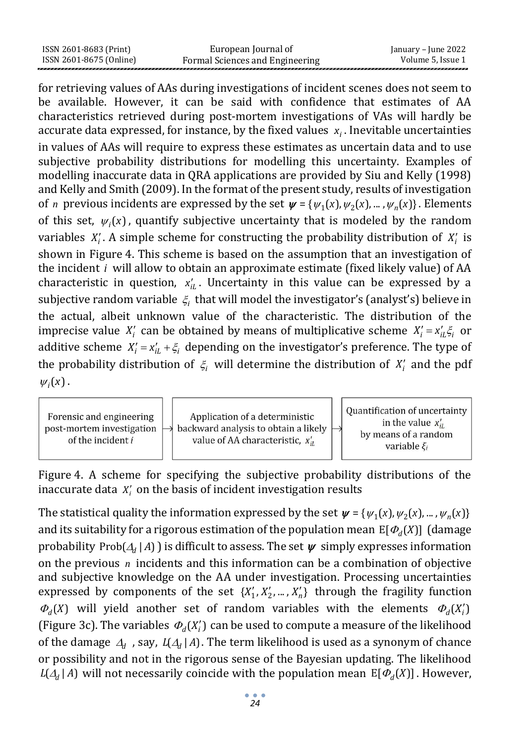| ISSN 2601-8683 (Print)  | European Journal of             | January – June 2022 |
|-------------------------|---------------------------------|---------------------|
| ISSN 2601-8675 (Online) | Formal Sciences and Engineering | Volume 5, Issue 1   |

for retrieving values of AAs during investigations of incident scenes does not seem to be available. However, it can be said with confidence that estimates of AA characteristics retrieved during post-mortem investigations of VAs will hardly be accurate data expressed, for instance, by the fixed values  $x_i$ . Inevitable uncertainties in values of AAs will require to express these estimates as uncertain data and to use subjective probability distributions for modelling this uncertainty. Examples of modelling inaccurate data in QRA applications are provided by Siu and Kelly (1998) and Kelly and Smith (2009). In the format of the present study, results of investigation of *n* previous incidents are expressed by the set  $\psi = {\psi_1(x), \psi_2(x), ..., \psi_n(x)}$ . Elements of this set,  $\psi_i(x)$ , quantify subjective uncertainty that is modeled by the random variables  $X_i'$ . A simple scheme for constructing the probability distribution of  $X_i'$  is shown in Figure 4. This scheme is based on the assumption that an investigation of the incident *i* will allow to obtain an approximate estimate (fixed likely value) of AA characteristic in question,  $x'_{iL}$ . Uncertainty in this value can be expressed by a subjective random variable  $\zeta_i$  that will model the investigator's (analyst's) believe in the actual, albeit unknown value of the characteristic. The distribution of the imprecise value  $X_i'$  can be obtained by means of multiplicative scheme  $X_i' = x_{i\omega}' \xi_i$  or additive scheme  $X'_i = x'_{i\cdot i} + \xi_i$  depending on the investigator's preference. The type of the probability distribution of  $\xi$  will determine the distribution of  $X'_i$  and the pdf  $\psi_i(x)$ .



Figure 4. A scheme for specifying the subjective probability distributions of the inaccurate data  $X_i'$  on the basis of incident investigation results

The statistical quality the information expressed by the set  $\psi = {\psi_1(x), \psi_2(x), ..., \psi_n(x)}$ and its suitability for a rigorous estimation of the population mean  $E[\Phi_d(X)]$  (damage probability Prob $(A_d | A)$  ) is difficult to assess. The set  $\psi$  simply expresses information on the previous *n* incidents and this information can be a combination of objective and subjective knowledge on the AA under investigation. Processing uncertainties expressed by components of the set  $\{X'_1, X'_2, ..., X'_n\}$  through the fragility function  $\Phi_d(X)$  will yield another set of random variables with the elements  $\Phi_d(X_i)$ (Figure 3c). The variables  $\Phi_d(X'_i)$  can be used to compute a measure of the likelihood of the damage  $\Delta_d$ , say,  $L(\Delta_d | A)$ . The term likelihood is used as a synonym of chance or possibility and not in the rigorous sense of the Bayesian updating. The likelihood  $L(A_d | A)$  will not necessarily coincide with the population mean  $E[\Phi_d(X)]$ . However,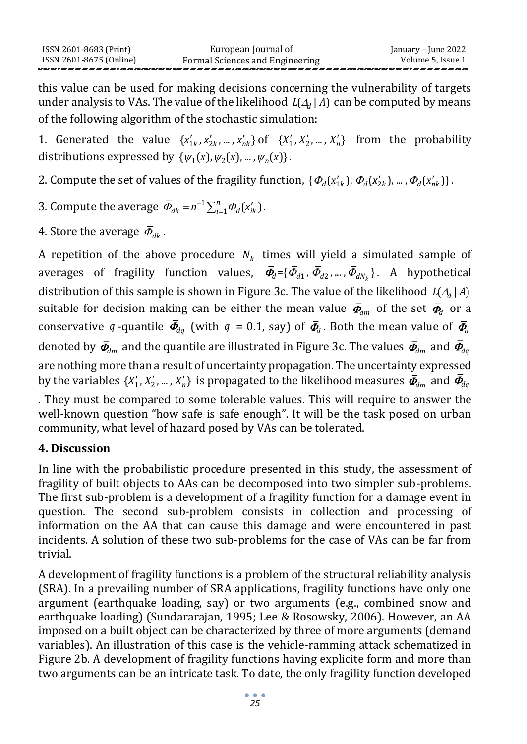this value can be used for making decisions concerning the vulnerability of targets under analysis to VAs. The value of the likelihood  $L(\Delta_d | A)$  can be computed by means of the following algorithm of the stochastic simulation:

1. Generated the value  $\{x'_{1k}, x'_{2k}, ..., x'_{nk}\}$  of  $\{X'_1, X'_2, ..., X'_n\}$  from the probability distributions expressed by  $\{\psi_1(x), \psi_2(x), ..., \psi_n(x)\}.$ 

2. Compute the set of values of the fragility function,  $\{\Phi_d(x'_{1k}), \Phi_d(x'_{2k}), ..., \Phi_d(x'_{nk})\}$ .

3. Compute the average 
$$
\bar{\Phi}_{dk} = n^{-1} \sum_{i=1}^{n} \Phi_d(x'_{ik})
$$
.

4. Store the average  $\, \bar{\varPhi}_{d k}^{}$  .

A repetition of the above procedure  $N_k$  times will yield a simulated sample of averages of fragility function values,  $\bar{\varPhi}_d$  ={ $\bar{\varPhi}_{d1}$ ,  $\bar{\varPhi}_{d2}$ ,…,  $\bar{\varPhi}_{dN_k}$ }. A hypothetical distribution of this sample is shown in Figure 3c. The value of the likelihood  $\, L\left(\mathcal{A}_d\mid A\right)$ suitable for decision making can be either the mean value  $\bar{\varPhi}_{\!d\,m}$  of the set  $\bar{\varPhi}_{\!d}$  or a conservative q-quantile  $\bar{\phi}_{dq}$  (with  $q$  = 0.1, say) of  $\bar{\phi}_{d}$ . Both the mean value of  $\bar{\phi}_{d}$ denoted by  $\bar{\varPhi}_{\!_{dm}}$  and the quantile are illustrated in Figure 3c. The values  $\bar{\varPhi}_{\!_{dm}}$  and  $\bar{\varPhi}_{\!_{dq}}$ are nothing more than a result of uncertainty propagation. The uncertainty expressed by the variables  $\{X'_1,X'_2,...,X'_n\}$  is propagated to the likelihood measures  $\bar{\mathbf{\Phi}}_{\!d m}$  and  $\bar{\mathbf{\Phi}}_{\!d q}$ 

. They must be compared to some tolerable values. This will require to answer the well-known question "how safe is safe enough". It will be the task posed on urban community, what level of hazard posed by VAs can be tolerated.

# **4. Discussion**

In line with the probabilistic procedure presented in this study, the assessment of fragility of built objects to AAs can be decomposed into two simpler sub-problems. The first sub-problem is a development of a fragility function for a damage event in question. The second sub-problem consists in collection and processing of information on the AA that can cause this damage and were encountered in past incidents. A solution of these two sub-problems for the case of VAs can be far from trivial.

A development of fragility functions is a problem of the structural reliability analysis (SRA). In a prevailing number of SRA applications, fragility functions have only one argument (earthquake loading, say) or two arguments (e.g., combined snow and earthquake loading) (Sundararajan, 1995; Lee & Rosowsky, 2006). However, an AA imposed on a built object can be characterized by three of more arguments (demand variables). An illustration of this case is the vehicle-ramming attack schematized in Figure 2b. A development of fragility functions having explicite form and more than two arguments can be an intricate task. To date, the only fragility function developed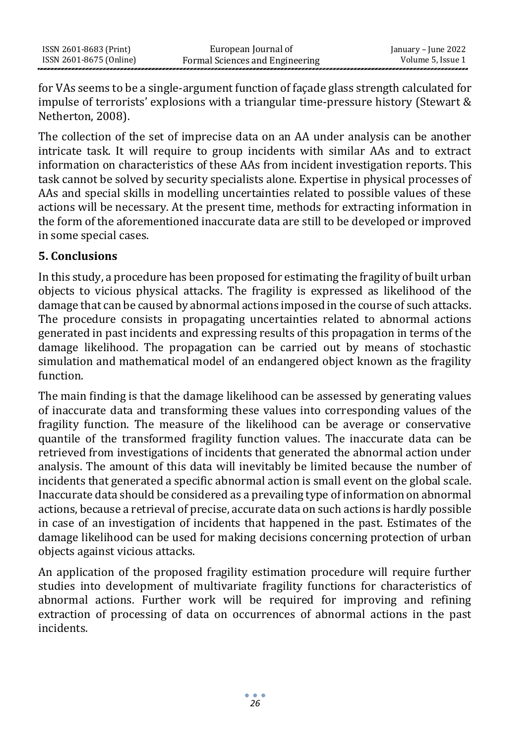for VAs seems to be a single-argument function of façade glass strength calculated for impulse of terrorists' explosions with a triangular time-pressure history (Stewart & Netherton, 2008).

The collection of the set of imprecise data on an AA under analysis can be another intricate task. It will require to group incidents with similar AAs and to extract information on characteristics of these AAs from incident investigation reports. This task cannot be solved by security specialists alone. Expertise in physical processes of AAs and special skills in modelling uncertainties related to possible values of these actions will be necessary. At the present time, methods for extracting information in the form of the aforementioned inaccurate data are still to be developed or improved in some special cases.

# **5. Conclusions**

In this study, a procedure has been proposed for estimating the fragility of built urban objects to vicious physical attacks. The fragility is expressed as likelihood of the damage that can be caused by abnormal actions imposed in the course of such attacks. The procedure consists in propagating uncertainties related to abnormal actions generated in past incidents and expressing results of this propagation in terms of the damage likelihood. The propagation can be carried out by means of stochastic simulation and mathematical model of an endangered object known as the fragility function.

The main finding is that the damage likelihood can be assessed by generating values of inaccurate data and transforming these values into corresponding values of the fragility function. The measure of the likelihood can be average or conservative quantile of the transformed fragility function values. The inaccurate data can be retrieved from investigations of incidents that generated the abnormal action under analysis. The amount of this data will inevitably be limited because the number of incidents that generated a specific abnormal action is small event on the global scale. Inaccurate data should be considered as a prevailing type of information on abnormal actions, because a retrieval of precise, accurate data on such actions is hardly possible in case of an investigation of incidents that happened in the past. Estimates of the damage likelihood can be used for making decisions concerning protection of urban objects against vicious attacks.

An application of the proposed fragility estimation procedure will require further studies into development of multivariate fragility functions for characteristics of abnormal actions. Further work will be required for improving and refining extraction of processing of data on occurrences of abnormal actions in the past incidents.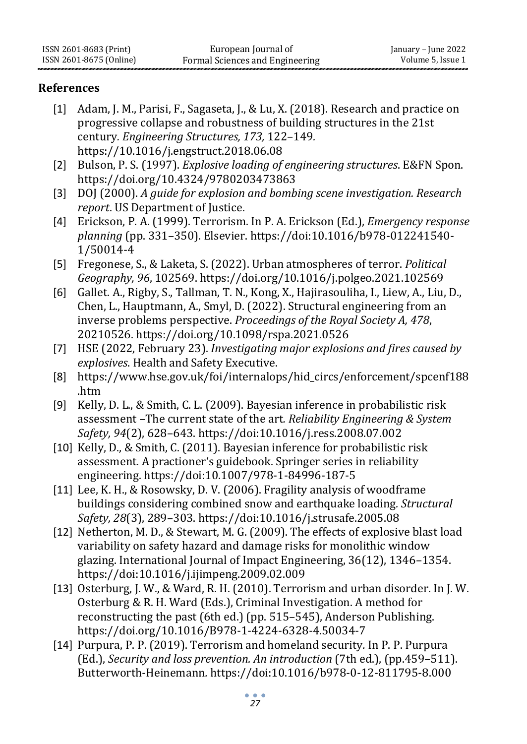### **References**

- [1] Adam, J. M., Parisi, F., Sagaseta, J., & Lu, X. (2018). Research and practice on progressive collapse and robustness of building structures in the 21st century*. Engineering Structures, 173,* 122–149*.* [https://10.1016/j.engstruct.2018.06.08](https://10.0.3.248/j.engstruct.2018.06.08)
- [2] Bulson, P. S. (1997). *Explosive loading of engineering structures*. E&FN Spon. <https://doi.org/10.4324/9780203473863>
- [3] DOJ (2000). *A guide for explosion and bombing scene investigation. Research report*. US Department of Justice.
- [4] Erickson, P. A. (1999). Terrorism. In P. A. Erickson (Ed.), *Emergency response planning* (pp. 331–350). Elsevier. [https://doi:10.1016/b978-012241540-](https://doi:10.1016/b978-012241540-1/50014-4) [1/50014-4](https://doi:10.1016/b978-012241540-1/50014-4)
- [5] Fregonese, S., & Laketa, S. (2022). Urban atmospheres of terror. *Political Geography, 96*, 102569.<https://doi.org/10.1016/j.polgeo.2021.102569>
- [6] Gallet. A., Rigby, S., Tallman, T. N., Kong, X., Hajirasouliha, I., Liew, A., Liu, D., Chen, L., Hauptmann, A., Smyl, D. (2022). Structural engineering from an inverse problems perspective. *Proceedings of the Royal Society A, 478*, 20210526[. https://doi.org/10.1098/rspa.2021.0526](https://doi.org/10.1098/rspa.2021.0526)
- [7] HSE (2022, February 23). *Investigating major explosions and fires caused by explosives*. Health and Safety Executive.
- [8] [https://www.hse.gov.uk/foi/internalops/hid\\_circs/enforcement/spcenf188](https://www.hse.gov.uk/foi/internalops/hid_circs/enforcement/spcenf188.htm) [.htm](https://www.hse.gov.uk/foi/internalops/hid_circs/enforcement/spcenf188.htm)
- [9] Kelly, D. L., & Smith, C. L. (2009). Bayesian inference in probabilistic risk assessment –The current state of the art*. Reliability Engineering & System Safety, 94*(2), 628–643[. https://doi:10.1016/j.ress.2008.07.002](https://doi:10.1016/j.ress.2008.07.002)
- [10] Kelly, D., & Smith, C. (2011). Bayesian inference for probabilistic risk assessment. A practioner's guidebook. Springer series in reliability engineering[. https://doi:10.1007/978-1-84996-187-5](https://doi:10.1007/978-1-84996-187-5)
- [11] Lee, K. H., & Rosowsky, D. V. (2006). Fragility analysis of woodframe buildings considering combined snow and earthquake loading*. Structural Safety, 28*(3), 289–303. <https://doi:10.1016/j.strusafe.2005.08>
- [12] Netherton, M. D., & Stewart, M. G. (2009). The effects of explosive blast load variability on safety hazard and damage risks for monolithic window glazing. International Journal of Impact Engineering, 36(12), 1346–1354. <https://doi:10.1016/j.ijimpeng.2009.02.009>
- [13] Osterburg, J. W., & Ward, R. H. (2010). Terrorism and urban disorder. In J. W. Osterburg & R. H. Ward (Eds.), Criminal Investigation. A method for reconstructing the past (6th ed.) (pp. 515–545), Anderson Publishing. <https://doi.org/10.1016/B978-1-4224-6328-4.50034-7>
- [14] Purpura, P. P. (2019). Terrorism and homeland security*.* In P. P. Purpura (Ed.), *Security and loss prevention. An introduction* (7th ed.), (pp.459–511). Butterworth-Heinemann*.* <https://doi:10.1016/b978-0-12-811795-8.000>